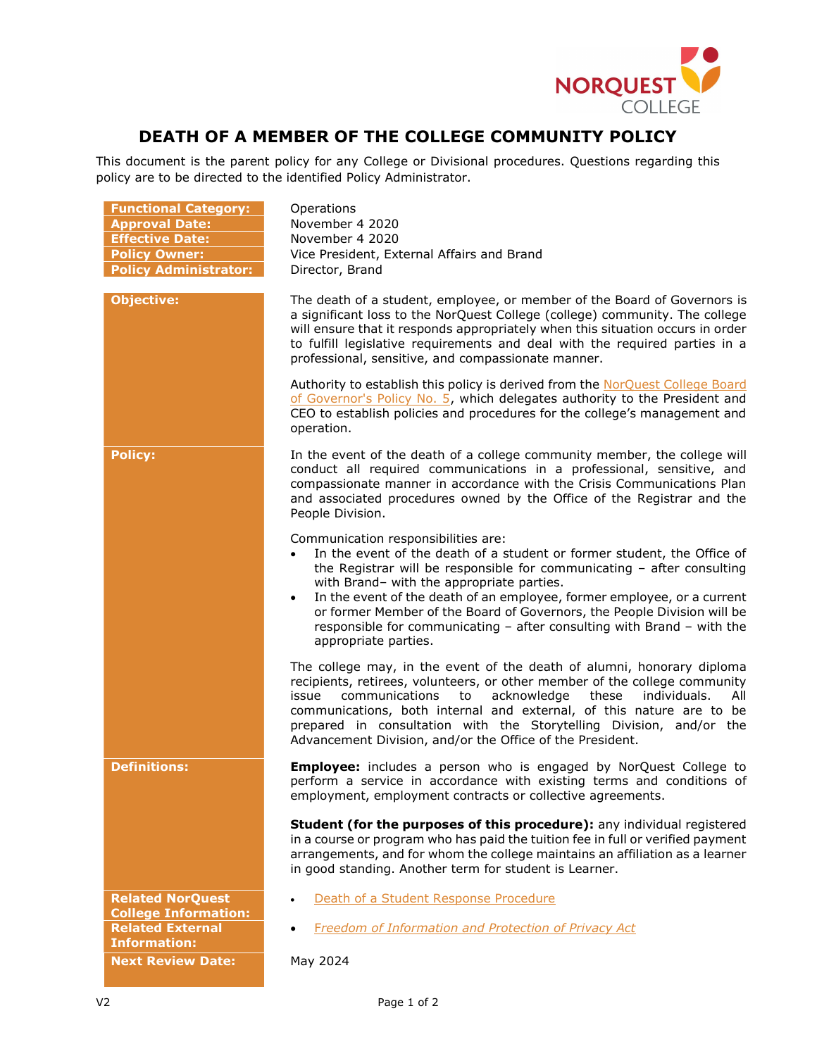

## DEATH OF A MEMBER OF THE COLLEGE COMMUNITY POLICY

This document is the parent policy for any College or Divisional procedures. Questions regarding this policy are to be directed to the identified Policy Administrator.